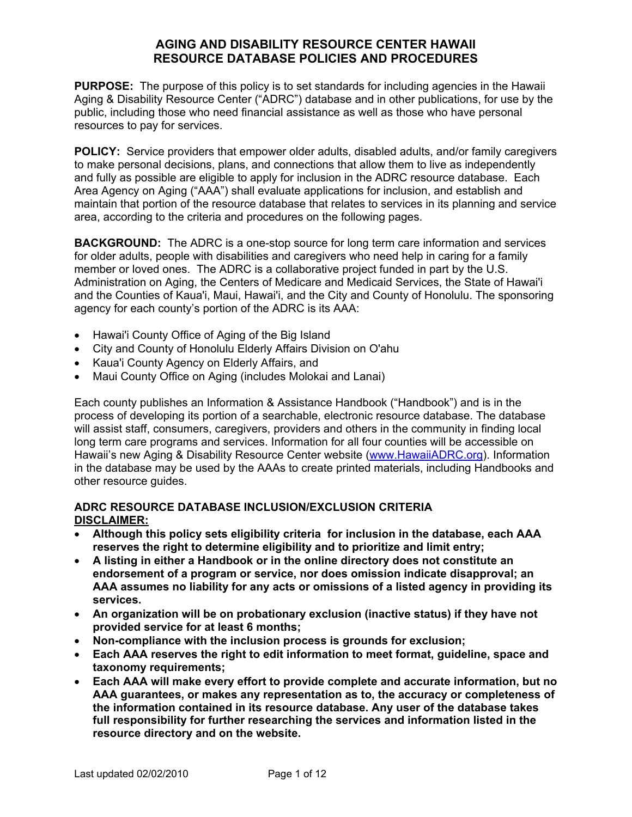**PURPOSE:** The purpose of this policy is to set standards for including agencies in the Hawaii Aging & Disability Resource Center ("ADRC") database and in other publications, for use by the public, including those who need financial assistance as well as those who have personal resources to pay for services.

**POLICY:** Service providers that empower older adults, disabled adults, and/or family caregivers to make personal decisions, plans, and connections that allow them to live as independently and fully as possible are eligible to apply for inclusion in the ADRC resource database. Each Area Agency on Aging ("AAA") shall evaluate applications for inclusion, and establish and maintain that portion of the resource database that relates to services in its planning and service area, according to the criteria and procedures on the following pages.

**BACKGROUND:** The ADRC is a one-stop source for long term care information and services for older adults, people with disabilities and caregivers who need help in caring for a family member or loved ones. The ADRC is a collaborative project funded in part by the U.S. Administration on Aging, the Centers of Medicare and Medicaid Services, the State of Hawai'i and the Counties of Kaua'i, Maui, Hawai'i, and the City and County of Honolulu. The sponsoring agency for each county's portion of the ADRC is its AAA:

- Hawai'i County Office of Aging of the Big Island
- City and County of Honolulu Elderly Affairs Division on O'ahu
- Kaua'i County Agency on Elderly Affairs, and
- Maui County Office on Aging (includes Molokai and Lanai)

Each county publishes an Information & Assistance Handbook ("Handbook") and is in the process of developing its portion of a searchable, electronic resource database. The database will assist staff, consumers, caregivers, providers and others in the community in finding local long term care programs and services. Information for all four counties will be accessible on Hawaii's new Aging & Disability Resource Center website (www.HawaiiADRC.org). Information in the database may be used by the AAAs to create printed materials, including Handbooks and other resource guides.

#### **ADRC RESOURCE DATABASE INCLUSION/EXCLUSION CRITERIA DISCLAIMER:**

- **Although this policy sets eligibility criteria for inclusion in the database, each AAA reserves the right to determine eligibility and to prioritize and limit entry;**
- **A listing in either a Handbook or in the online directory does not constitute an endorsement of a program or service, nor does omission indicate disapproval; an AAA assumes no liability for any acts or omissions of a listed agency in providing its services.**
- **An organization will be on probationary exclusion (inactive status) if they have not provided service for at least 6 months;**
- **Non-compliance with the inclusion process is grounds for exclusion;**
- **Each AAA reserves the right to edit information to meet format, guideline, space and taxonomy requirements;**
- **Each AAA will make every effort to provide complete and accurate information, but no AAA guarantees, or makes any representation as to, the accuracy or completeness of the information contained in its resource database. Any user of the database takes full responsibility for further researching the services and information listed in the resource directory and on the website.**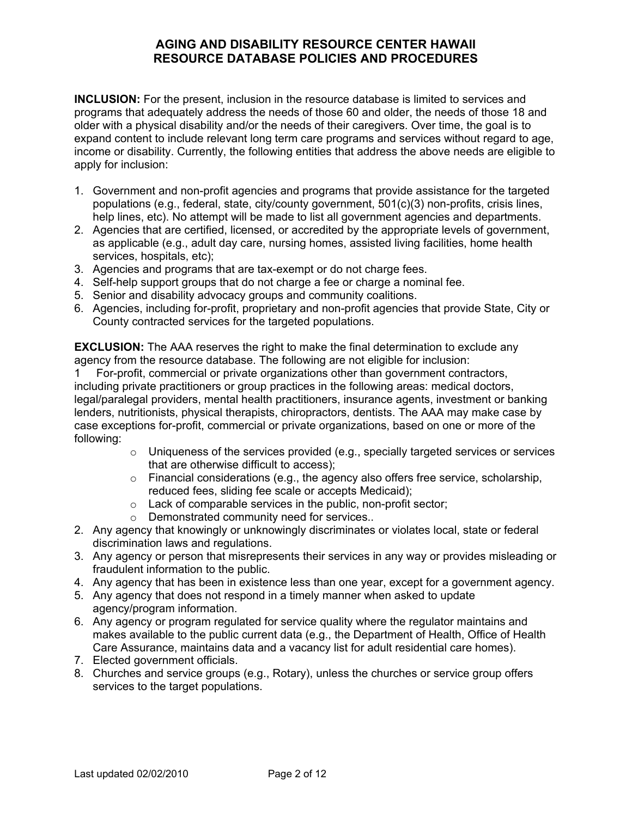**INCLUSION:** For the present, inclusion in the resource database is limited to services and programs that adequately address the needs of those 60 and older, the needs of those 18 and older with a physical disability and/or the needs of their caregivers. Over time, the goal is to expand content to include relevant long term care programs and services without regard to age, income or disability. Currently, the following entities that address the above needs are eligible to apply for inclusion:

- 1. Government and non-profit agencies and programs that provide assistance for the targeted populations (e.g., federal, state, city/county government, 501(c)(3) non-profits, crisis lines, help lines, etc). No attempt will be made to list all government agencies and departments.
- 2. Agencies that are certified, licensed, or accredited by the appropriate levels of government, as applicable (e.g., adult day care, nursing homes, assisted living facilities, home health services, hospitals, etc);
- 3. Agencies and programs that are tax-exempt or do not charge fees.
- 4. Self-help support groups that do not charge a fee or charge a nominal fee.
- 5. Senior and disability advocacy groups and community coalitions.
- 6. Agencies, including for-profit, proprietary and non-profit agencies that provide State, City or County contracted services for the targeted populations.

**EXCLUSION:** The AAA reserves the right to make the final determination to exclude any agency from the resource database. The following are not eligible for inclusion:

1 For-profit, commercial or private organizations other than government contractors, including private practitioners or group practices in the following areas: medical doctors, legal/paralegal providers, mental health practitioners, insurance agents, investment or banking lenders, nutritionists, physical therapists, chiropractors, dentists. The AAA may make case by case exceptions for-profit, commercial or private organizations, based on one or more of the following:

- $\circ$  Uniqueness of the services provided (e.g., specially targeted services or services that are otherwise difficult to access);
- o Financial considerations (e.g., the agency also offers free service, scholarship, reduced fees, sliding fee scale or accepts Medicaid);
- o Lack of comparable services in the public, non-profit sector;
- o Demonstrated community need for services..
- 2. Any agency that knowingly or unknowingly discriminates or violates local, state or federal discrimination laws and regulations.
- 3. Any agency or person that misrepresents their services in any way or provides misleading or fraudulent information to the public.
- 4. Any agency that has been in existence less than one year, except for a government agency.
- 5. Any agency that does not respond in a timely manner when asked to update agency/program information.
- 6. Any agency or program regulated for service quality where the regulator maintains and makes available to the public current data (e.g., the Department of Health, Office of Health Care Assurance, maintains data and a vacancy list for adult residential care homes).
- 7. Elected government officials.
- 8. Churches and service groups (e.g., Rotary), unless the churches or service group offers services to the target populations.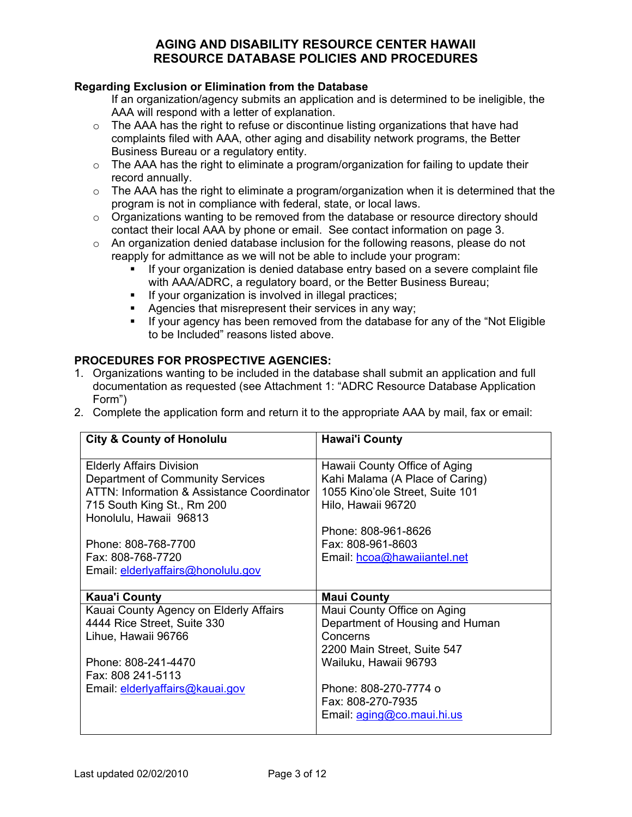#### **Regarding Exclusion or Elimination from the Database**

If an organization/agency submits an application and is determined to be ineligible, the AAA will respond with a letter of explanation.

- o The AAA has the right to refuse or discontinue listing organizations that have had complaints filed with AAA, other aging and disability network programs, the Better Business Bureau or a regulatory entity.
- o The AAA has the right to eliminate a program/organization for failing to update their record annually.
- $\circ$  The AAA has the right to eliminate a program/organization when it is determined that the program is not in compliance with federal, state, or local laws.
- $\circ$  Organizations wanting to be removed from the database or resource directory should contact their local AAA by phone or email. See contact information on page 3.
- $\circ$  An organization denied database inclusion for the following reasons, please do not reapply for admittance as we will not be able to include your program:
	- $I$  If your organization is denied database entry based on a severe complaint file with AAA/ADRC, a regulatory board, or the Better Business Bureau;
	- **If your organization is involved in illegal practices;**
	- Agencies that misrepresent their services in any way;
	- If your agency has been removed from the database for any of the "Not Eligible" to be Included" reasons listed above.

### **PROCEDURES FOR PROSPECTIVE AGENCIES:**

- 1. Organizations wanting to be included in the database shall submit an application and full documentation as requested (see Attachment 1: "ADRC Resource Database Application Form")
- 2. Complete the application form and return it to the appropriate AAA by mail, fax or email:

| <b>City &amp; County of Honolulu</b>       | <b>Hawai'i County</b>           |
|--------------------------------------------|---------------------------------|
| <b>Elderly Affairs Division</b>            | Hawaii County Office of Aging   |
| Department of Community Services           | Kahi Malama (A Place of Caring) |
| ATTN: Information & Assistance Coordinator | 1055 Kino'ole Street, Suite 101 |
| 715 South King St., Rm 200                 | Hilo, Hawaii 96720              |
| Honolulu, Hawaii 96813                     |                                 |
|                                            | Phone: 808-961-8626             |
| Phone: 808-768-7700                        | Fax: 808-961-8603               |
| Fax: 808-768-7720                          | Email: hcoa@hawaiiantel.net     |
| Email: elderlyaffairs@honolulu.gov         |                                 |
|                                            |                                 |
| <b>Kaua'i County</b>                       | <b>Maui County</b>              |
| Kauai County Agency on Elderly Affairs     | Maui County Office on Aging     |
| 4444 Rice Street, Suite 330                | Department of Housing and Human |
| Lihue, Hawaii 96766                        | Concerns                        |
|                                            | 2200 Main Street, Suite 547     |
| Phone: 808-241-4470                        | Wailuku, Hawaii 96793           |
| Fax: 808 241-5113                          |                                 |
| Email: elderlyaffairs@kauai.gov            | Phone: 808-270-7774 o           |
|                                            | Fax: 808-270-7935               |
|                                            | Email: aging@co.maui.hi.us      |
|                                            |                                 |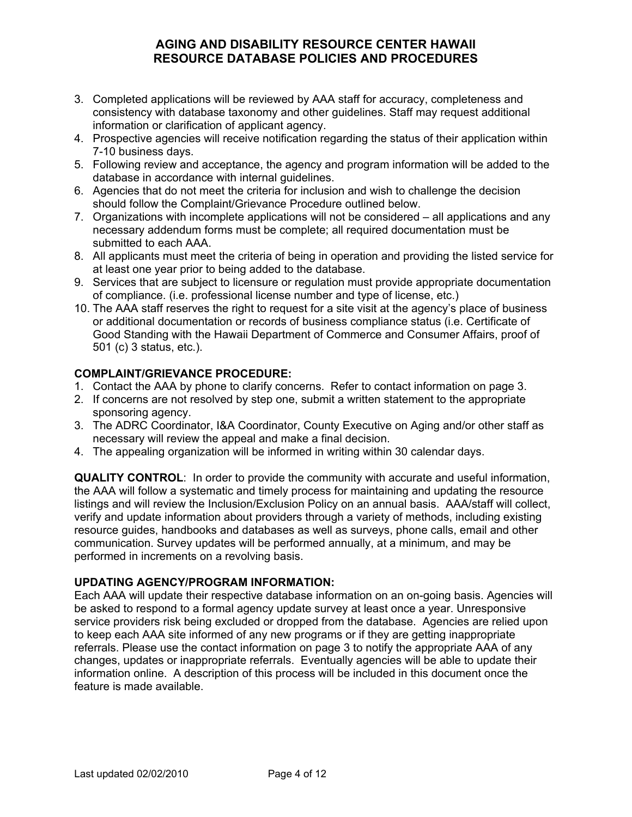- 3. Completed applications will be reviewed by AAA staff for accuracy, completeness and consistency with database taxonomy and other guidelines. Staff may request additional information or clarification of applicant agency.
- 4. Prospective agencies will receive notification regarding the status of their application within 7-10 business days.
- 5. Following review and acceptance, the agency and program information will be added to the database in accordance with internal guidelines.
- 6. Agencies that do not meet the criteria for inclusion and wish to challenge the decision should follow the Complaint/Grievance Procedure outlined below.
- 7. Organizations with incomplete applications will not be considered all applications and any necessary addendum forms must be complete; all required documentation must be submitted to each AAA.
- 8. All applicants must meet the criteria of being in operation and providing the listed service for at least one year prior to being added to the database.
- 9. Services that are subject to licensure or regulation must provide appropriate documentation of compliance. (i.e. professional license number and type of license, etc.)
- 10. The AAA staff reserves the right to request for a site visit at the agency's place of business or additional documentation or records of business compliance status (i.e. Certificate of Good Standing with the Hawaii Department of Commerce and Consumer Affairs, proof of 501 (c) 3 status, etc.).

### **COMPLAINT/GRIEVANCE PROCEDURE:**

- 1. Contact the AAA by phone to clarify concerns. Refer to contact information on page 3.
- 2. If concerns are not resolved by step one, submit a written statement to the appropriate sponsoring agency.
- 3. The ADRC Coordinator, I&A Coordinator, County Executive on Aging and/or other staff as necessary will review the appeal and make a final decision.
- 4. The appealing organization will be informed in writing within 30 calendar days.

**QUALITY CONTROL**: In order to provide the community with accurate and useful information, the AAA will follow a systematic and timely process for maintaining and updating the resource listings and will review the Inclusion/Exclusion Policy on an annual basis. AAA/staff will collect, verify and update information about providers through a variety of methods, including existing resource guides, handbooks and databases as well as surveys, phone calls, email and other communication. Survey updates will be performed annually, at a minimum, and may be performed in increments on a revolving basis.

#### **UPDATING AGENCY/PROGRAM INFORMATION:**

Each AAA will update their respective database information on an on-going basis. Agencies will be asked to respond to a formal agency update survey at least once a year. Unresponsive service providers risk being excluded or dropped from the database. Agencies are relied upon to keep each AAA site informed of any new programs or if they are getting inappropriate referrals. Please use the contact information on page 3 to notify the appropriate AAA of any changes, updates or inappropriate referrals. Eventually agencies will be able to update their information online. A description of this process will be included in this document once the feature is made available.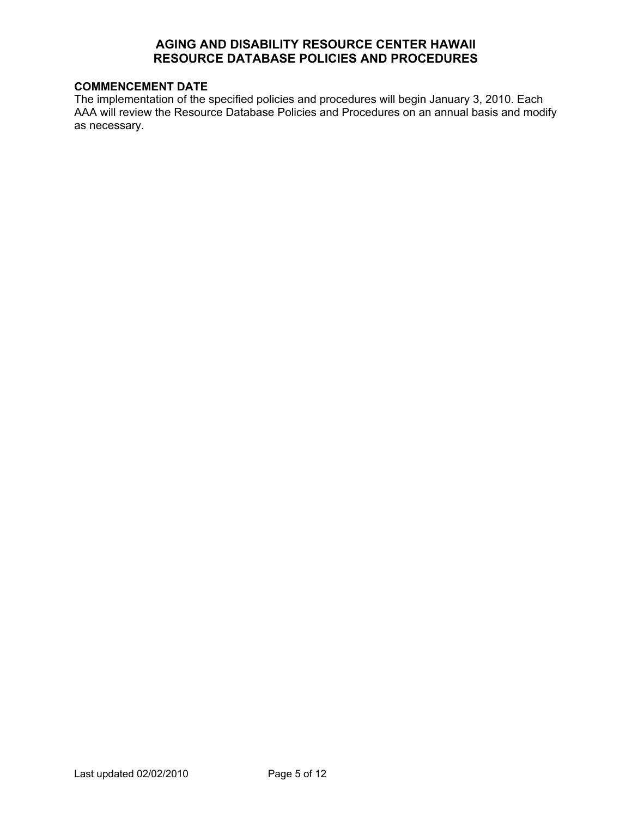#### **COMMENCEMENT DATE**

The implementation of the specified policies and procedures will begin January 3, 2010. Each AAA will review the Resource Database Policies and Procedures on an annual basis and modify as necessary.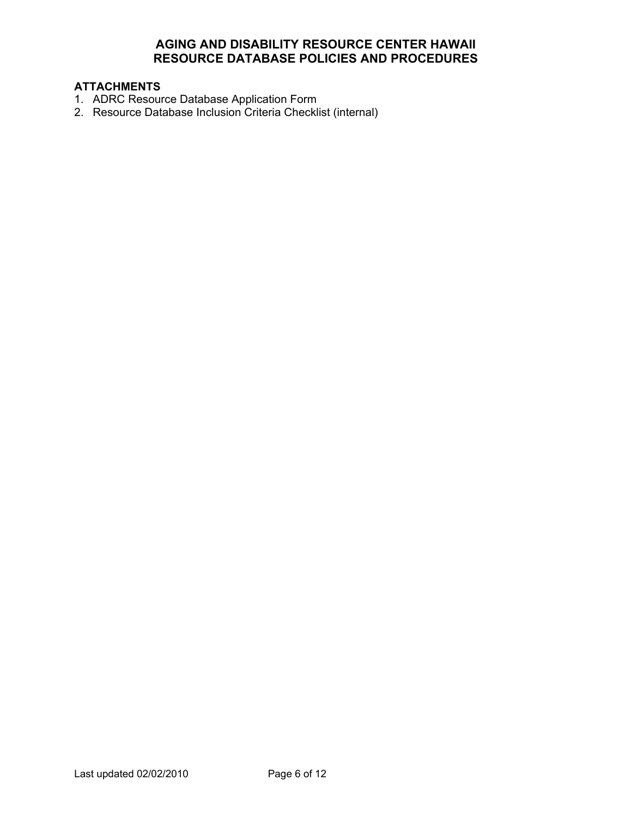# **ATTACHMENTS**

- 1. ADRC Resource Database Application Form
- 2. Resource Database Inclusion Criteria Checklist (internal)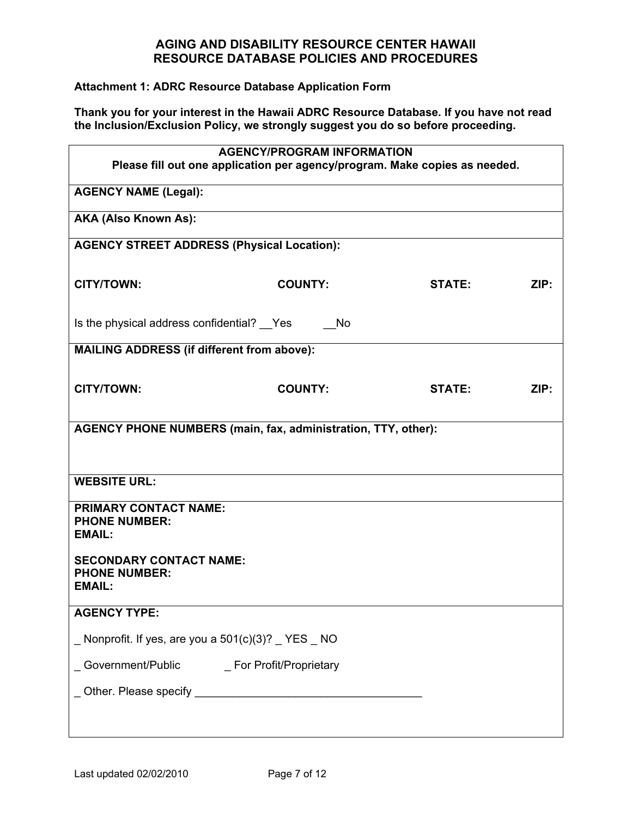#### **Attachment 1: ADRC Resource Database Application Form**

**Thank you for your interest in the Hawaii ADRC Resource Database. If you have not read the Inclusion/Exclusion Policy, we strongly suggest you do so before proceeding.** 

| <b>AGENCY/PROGRAM INFORMATION</b><br>Please fill out one application per agency/program. Make copies as needed. |                |               |      |
|-----------------------------------------------------------------------------------------------------------------|----------------|---------------|------|
| <b>AGENCY NAME (Legal):</b>                                                                                     |                |               |      |
| AKA (Also Known As):                                                                                            |                |               |      |
| <b>AGENCY STREET ADDRESS (Physical Location):</b>                                                               |                |               |      |
| <b>CITY/TOWN:</b>                                                                                               | <b>COUNTY:</b> | <b>STATE:</b> | ZIP: |
| Is the physical address confidential? Pes                                                                       | No.            |               |      |
| <b>MAILING ADDRESS (if different from above):</b>                                                               |                |               |      |
| <b>CITY/TOWN:</b>                                                                                               | <b>COUNTY:</b> | <b>STATE:</b> | ZIP: |
| <b>AGENCY PHONE NUMBERS (main, fax, administration, TTY, other):</b>                                            |                |               |      |
| <b>WEBSITE URL:</b>                                                                                             |                |               |      |
| PRIMARY CONTACT NAME:<br><b>PHONE NUMBER:</b><br><b>EMAIL:</b>                                                  |                |               |      |
| <b>SECONDARY CONTACT NAME:</b><br><b>PHONE NUMBER:</b><br><b>EMAIL:</b>                                         |                |               |      |
| <b>AGENCY TYPE:</b>                                                                                             |                |               |      |
| _ Nonprofit. If yes, are you a 501(c)(3)? _ YES _ NO                                                            |                |               |      |
| _Government/Public ______________ For Profit/Proprietary                                                        |                |               |      |
|                                                                                                                 |                |               |      |
|                                                                                                                 |                |               |      |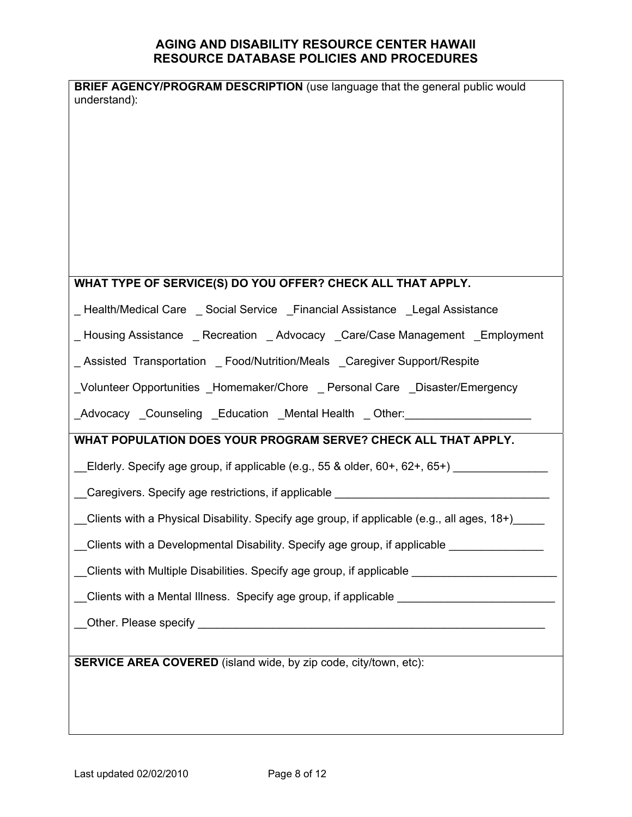| <b>BRIEF AGENCY/PROGRAM DESCRIPTION</b> (use language that the general public would                  |
|------------------------------------------------------------------------------------------------------|
| understand):                                                                                         |
|                                                                                                      |
|                                                                                                      |
|                                                                                                      |
|                                                                                                      |
|                                                                                                      |
|                                                                                                      |
|                                                                                                      |
| WHAT TYPE OF SERVICE(S) DO YOU OFFER? CHECK ALL THAT APPLY.                                          |
| _Health/Medical Care _ Social Service _ Financial Assistance _ Legal Assistance                      |
| _Housing Assistance _ Recreation _ Advocacy _ Care/Case Management _ Employment                      |
| _Assisted Transportation _ Food/Nutrition/Meals _Caregiver Support/Respite                           |
| _Volunteer Opportunities _Homemaker/Chore _ Personal Care _Disaster/Emergency                        |
| _Advocacy _Counseling _Education _Mental Health _ Other: _______________________                     |
| WHAT POPULATION DOES YOUR PROGRAM SERVE? CHECK ALL THAT APPLY.                                       |
| _Elderly. Specify age group, if applicable (e.g., 55 & older, 60+, 62+, 65+) __________              |
| Caregivers. Specify age restrictions, if applicable ____________________________                     |
|                                                                                                      |
| Clients with a Physical Disability. Specify age group, if applicable (e.g., all ages, 18+)           |
| __Clients with a Developmental Disability. Specify age group, if applicable ______________           |
| __Clients with Multiple Disabilities. Specify age group, if applicable ____________________________  |
| __Clients with a Mental Illness. Specify age group, if applicable __________________________________ |
|                                                                                                      |
|                                                                                                      |
| SERVICE AREA COVERED (island wide, by zip code, city/town, etc):                                     |
|                                                                                                      |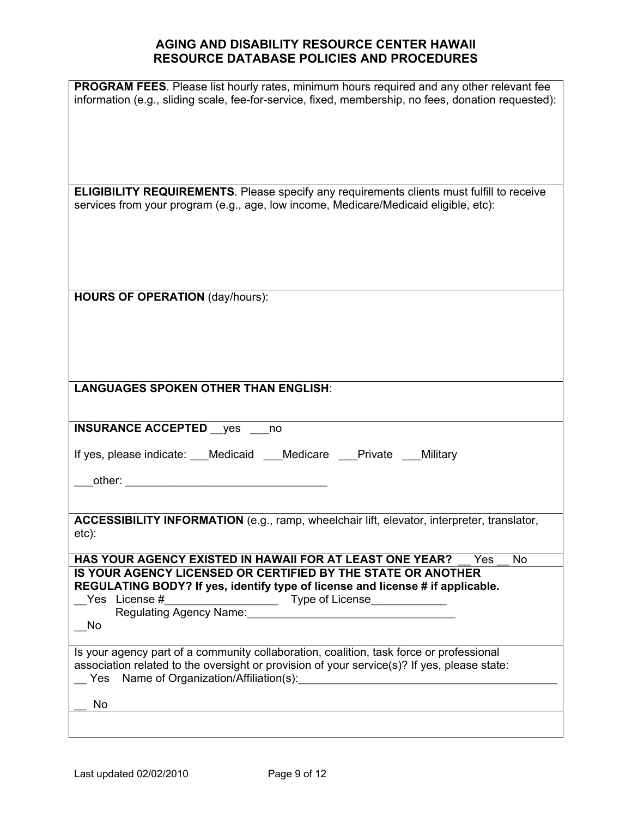| PROGRAM FEES. Please list hourly rates, minimum hours required and any other relevant fee<br>information (e.g., sliding scale, fee-for-service, fixed, membership, no fees, donation requested): |
|--------------------------------------------------------------------------------------------------------------------------------------------------------------------------------------------------|
|                                                                                                                                                                                                  |
|                                                                                                                                                                                                  |
| <b>ELIGIBILITY REQUIREMENTS</b> . Please specify any requirements clients must fulfill to receive<br>services from your program (e.g., age, low income, Medicare/Medicaid eligible, etc):        |
|                                                                                                                                                                                                  |
|                                                                                                                                                                                                  |
|                                                                                                                                                                                                  |
|                                                                                                                                                                                                  |
| <b>HOURS OF OPERATION (day/hours):</b>                                                                                                                                                           |
|                                                                                                                                                                                                  |
|                                                                                                                                                                                                  |
|                                                                                                                                                                                                  |
|                                                                                                                                                                                                  |
| <b>LANGUAGES SPOKEN OTHER THAN ENGLISH:</b>                                                                                                                                                      |
|                                                                                                                                                                                                  |
| <b>INSURANCE ACCEPTED</b> yes no                                                                                                                                                                 |
| If yes, please indicate: ___Medicaid ___Medicare ___Private Military                                                                                                                             |
|                                                                                                                                                                                                  |
|                                                                                                                                                                                                  |
|                                                                                                                                                                                                  |
| ACCESSIBILITY INFORMATION (e.g., ramp, wheelchair lift, elevator, interpreter, translator,                                                                                                       |
| etc):                                                                                                                                                                                            |
| HAS YOUR AGENCY EXISTED IN HAWAII FOR AT LEAST ONE YEAR?<br>Yes<br>No                                                                                                                            |
| IS YOUR AGENCY LICENSED OR CERTIFIED BY THE STATE OR ANOTHER<br>REGULATING BODY? If yes, identify type of license and license # if applicable.                                                   |
| Yes License #                                                                                                                                                                                    |
|                                                                                                                                                                                                  |
| - No                                                                                                                                                                                             |
| Is your agency part of a community collaboration, coalition, task force or professional                                                                                                          |
| association related to the oversight or provision of your service(s)? If yes, please state:<br>Yes Name of Organization/Affiliation(s):                                                          |
| No                                                                                                                                                                                               |
|                                                                                                                                                                                                  |
|                                                                                                                                                                                                  |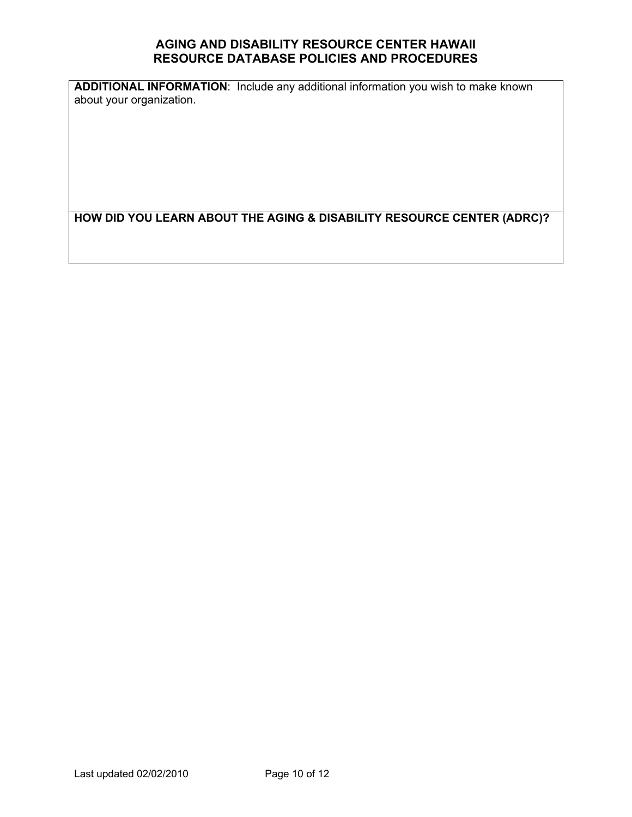**ADDITIONAL INFORMATION**: Include any additional information you wish to make known about your organization.

**HOW DID YOU LEARN ABOUT THE AGING & DISABILITY RESOURCE CENTER (ADRC)?**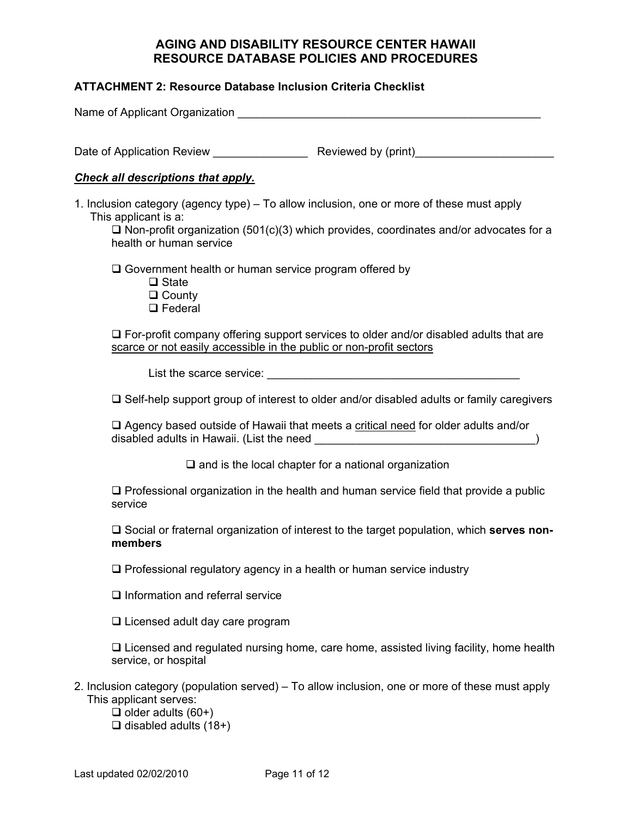#### **ATTACHMENT 2: Resource Database Inclusion Criteria Checklist**

| Name of Applicant Organization                                                                                                                                                                                                               |                     |  |
|----------------------------------------------------------------------------------------------------------------------------------------------------------------------------------------------------------------------------------------------|---------------------|--|
| Date of Application Review                                                                                                                                                                                                                   | Reviewed by (print) |  |
| <b>Check all descriptions that apply.</b>                                                                                                                                                                                                    |                     |  |
| 1. Inclusion category (agency type) – To allow inclusion, one or more of these must apply<br>This applicant is a:<br>$\Box$ Non-profit organization (501(c)(3) which provides, coordinates and/or advocates for a<br>health or human service |                     |  |
| $\Box$ Government health or human service program offered by                                                                                                                                                                                 |                     |  |

- **□** State
- □ County
- □ Federal

 $\Box$  For-profit company offering support services to older and/or disabled adults that are scarce or not easily accessible in the public or non-profit sectors

List the scarce service: \_\_\_\_\_\_\_\_\_\_\_\_\_\_\_\_\_\_\_\_\_\_\_\_\_\_\_\_\_\_\_\_\_\_\_\_\_\_\_\_

 $\Box$  Self-help support group of interest to older and/or disabled adults or family caregivers

 $\Box$  Agency based outside of Hawaii that meets a critical need for older adults and/or disabled adults in Hawaii. (List the need \_\_\_\_\_\_\_\_\_\_\_\_\_\_\_\_\_\_\_\_\_\_\_\_\_\_\_\_\_\_\_\_\_\_\_)

 $\square$  and is the local chapter for a national organization

 $\Box$  Professional organization in the health and human service field that provide a public service

□ Social or fraternal organization of interest to the target population, which **serves nonmembers** 

 $\Box$  Professional regulatory agency in a health or human service industry

 $\Box$  Information and referral service

 $\Box$  Licensed adult day care program

 $\Box$  Licensed and regulated nursing home, care home, assisted living facility, home health service, or hospital

- 2. Inclusion category (population served) To allow inclusion, one or more of these must apply This applicant serves:
	- $\Box$  older adults (60+)
	- $\Box$  disabled adults (18+)